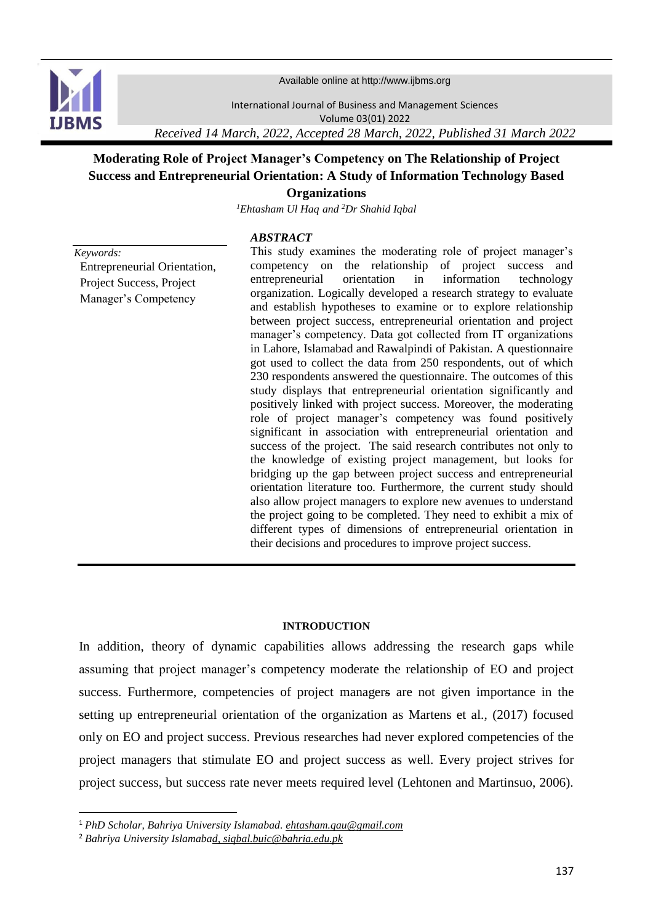

Available online at http://www.ijbms.org

International Journal of Business and Management Sciences Volume 03(01) 2022

*Received 14 March, 2022, Accepted 28 March, 2022, Published 31 March 2022*

# **Moderating Role of Project Manager's Competency on The Relationship of Project Success and Entrepreneurial Orientation: A Study of Information Technology Based Organizations**

*<sup>1</sup>Ehtasham Ul Haq and <sup>2</sup>Dr Shahid Iqbal*

# *ABSTRACT*

*Keywords:*

**.** 

Entrepreneurial Orientation, Project Success, Project Manager's Competency

This study examines the moderating role of project manager's competency on the relationship of project success and entrepreneurial orientation in information technology organization. Logically developed a research strategy to evaluate and establish hypotheses to examine or to explore relationship between project success, entrepreneurial orientation and project manager's competency. Data got collected from IT organizations in Lahore, Islamabad and Rawalpindi of Pakistan. A questionnaire got used to collect the data from 250 respondents, out of which 230 respondents answered the questionnaire. The outcomes of this study displays that entrepreneurial orientation significantly and positively linked with project success. Moreover, the moderating role of project manager's competency was found positively significant in association with entrepreneurial orientation and success of the project. The said research contributes not only to the knowledge of existing project management, but looks for bridging up the gap between project success and entrepreneurial orientation literature too. Furthermore, the current study should also allow project managers to explore new avenues to understand the project going to be completed. They need to exhibit a mix of different types of dimensions of entrepreneurial orientation in their decisions and procedures to improve project success.

### **INTRODUCTION**

In addition, theory of dynamic capabilities allows addressing the research gaps while assuming that project manager's competency moderate the relationship of EO and project success. Furthermore, competencies of project managers are not given importance in the setting up entrepreneurial orientation of the organization as Martens et al., (2017) focused only on EO and project success. Previous researches had never explored competencies of the project managers that stimulate EO and project success as well. Every project strives for project success, but success rate never meets required level (Lehtonen and Martinsuo, 2006).

<sup>1</sup> *PhD Scholar, Bahriya University Islamabad[. ehtasham.qau@gmail.com](mailto:ehtasham.qau@gmail.com)*

<sup>2</sup> *Bahriya University Islamabad[, siqbal.buic@bahria.edu.pk](mailto:siqbal.buic@bahria.edu.pk)*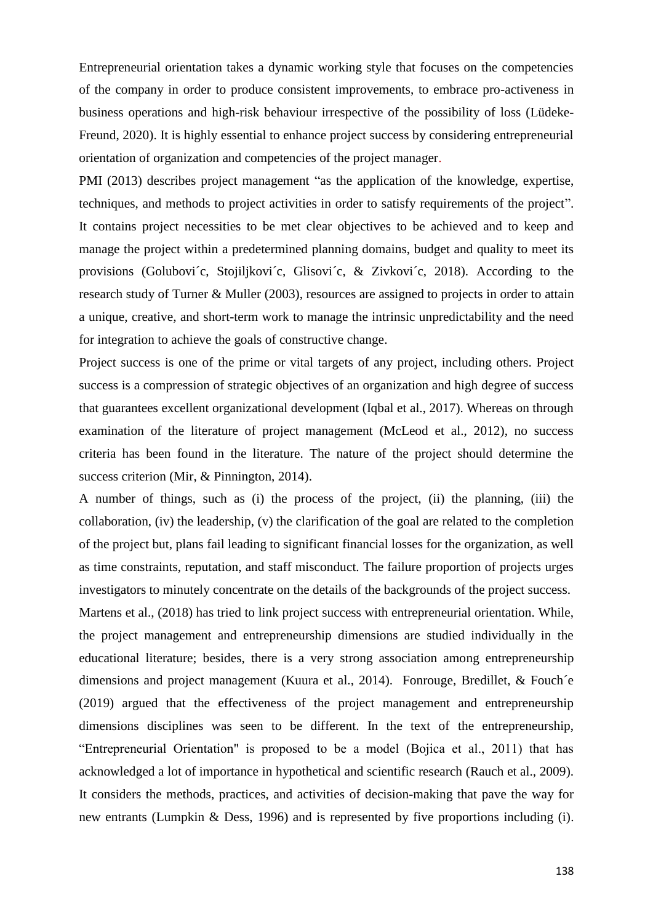Entrepreneurial orientation takes a dynamic working style that focuses on the competencies of the company in order to produce consistent improvements, to embrace pro-activeness in business operations and high-risk behaviour irrespective of the possibility of loss (Lüdeke-Freund, 2020). It is highly essential to enhance project success by considering entrepreneurial orientation of organization and competencies of the project manager.

PMI (2013) describes project management "as the application of the knowledge, expertise, techniques, and methods to project activities in order to satisfy requirements of the project". It contains project necessities to be met clear objectives to be achieved and to keep and manage the project within a predetermined planning domains, budget and quality to meet its provisions (Golubovi´c, Stojiljkovi´c, Glisovi´c, & Zivkovi´c, 2018). According to the research study of Turner & Muller (2003), resources are assigned to projects in order to attain a unique, creative, and short-term work to manage the intrinsic unpredictability and the need for integration to achieve the goals of constructive change.

Project success is one of the prime or vital targets of any project, including others. Project success is a compression of strategic objectives of an organization and high degree of success that guarantees excellent organizational development (Iqbal et al., 2017). Whereas on through examination of the literature of project management (McLeod et al., 2012), no success criteria has been found in the literature. The nature of the project should determine the success criterion (Mir, & Pinnington, 2014).

A number of things, such as (i) the process of the project, (ii) the planning, (iii) the collaboration, (iv) the leadership, (v) the clarification of the goal are related to the completion of the project but, plans fail leading to significant financial losses for the organization, as well as time constraints, reputation, and staff misconduct. The failure proportion of projects urges investigators to minutely concentrate on the details of the backgrounds of the project success.

Martens et al., (2018) has tried to link project success with entrepreneurial orientation. While, the project management and entrepreneurship dimensions are studied individually in the educational literature; besides, there is a very strong association among entrepreneurship dimensions and project management (Kuura et al., 2014). Fonrouge, Bredillet, & Fouch´e (2019) argued that the effectiveness of the project management and entrepreneurship dimensions disciplines was seen to be different. In the text of the entrepreneurship, "Entrepreneurial Orientation" is proposed to be a model (Bojica et al., 2011) that has acknowledged a lot of importance in hypothetical and scientific research (Rauch et al., 2009). It considers the methods, practices, and activities of decision-making that pave the way for new entrants (Lumpkin & Dess, 1996) and is represented by five proportions including (i).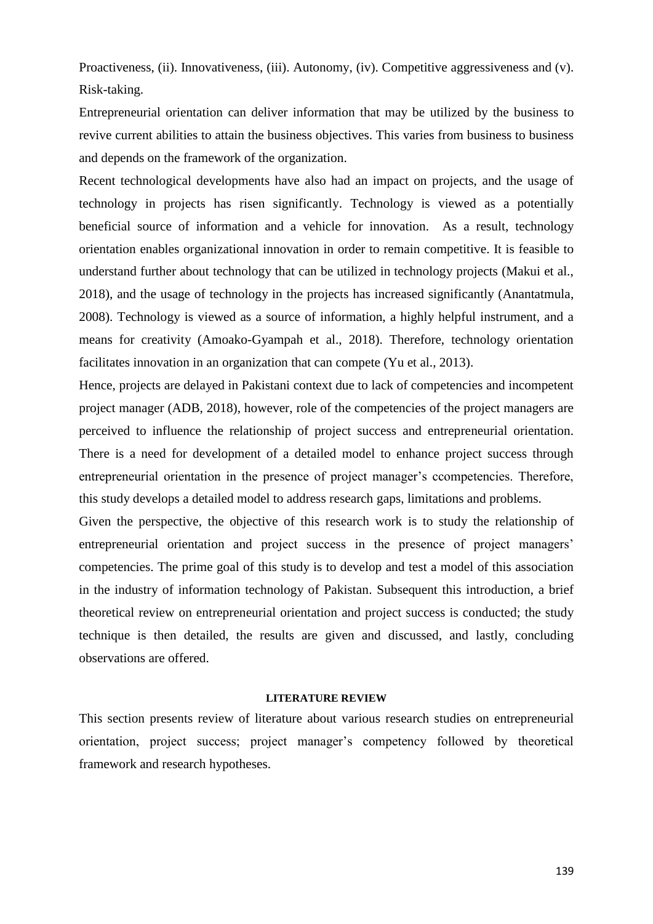Proactiveness, (ii). Innovativeness, (iii). Autonomy, (iv). Competitive aggressiveness and (v). Risk-taking.

Entrepreneurial orientation can deliver information that may be utilized by the business to revive current abilities to attain the business objectives. This varies from business to business and depends on the framework of the organization.

Recent technological developments have also had an impact on projects, and the usage of technology in projects has risen significantly. Technology is viewed as a potentially beneficial source of information and a vehicle for innovation. As a result, technology orientation enables organizational innovation in order to remain competitive. It is feasible to understand further about technology that can be utilized in technology projects (Makui et al., 2018), and the usage of technology in the projects has increased significantly (Anantatmula, 2008). Technology is viewed as a source of information, a highly helpful instrument, and a means for creativity (Amoako-Gyampah et al., 2018). Therefore, technology orientation facilitates innovation in an organization that can compete (Yu et al., 2013).

Hence, projects are delayed in Pakistani context due to lack of competencies and incompetent project manager (ADB, 2018), however, role of the competencies of the project managers are perceived to influence the relationship of project success and entrepreneurial orientation. There is a need for development of a detailed model to enhance project success through entrepreneurial orientation in the presence of project manager's ccompetencies. Therefore, this study develops a detailed model to address research gaps, limitations and problems.

Given the perspective, the objective of this research work is to study the relationship of entrepreneurial orientation and project success in the presence of project managers' competencies. The prime goal of this study is to develop and test a model of this association in the industry of information technology of Pakistan. Subsequent this introduction, a brief theoretical review on entrepreneurial orientation and project success is conducted; the study technique is then detailed, the results are given and discussed, and lastly, concluding observations are offered.

### **LITERATURE REVIEW**

This section presents review of literature about various research studies on entrepreneurial orientation, project success; project manager's competency followed by theoretical framework and research hypotheses.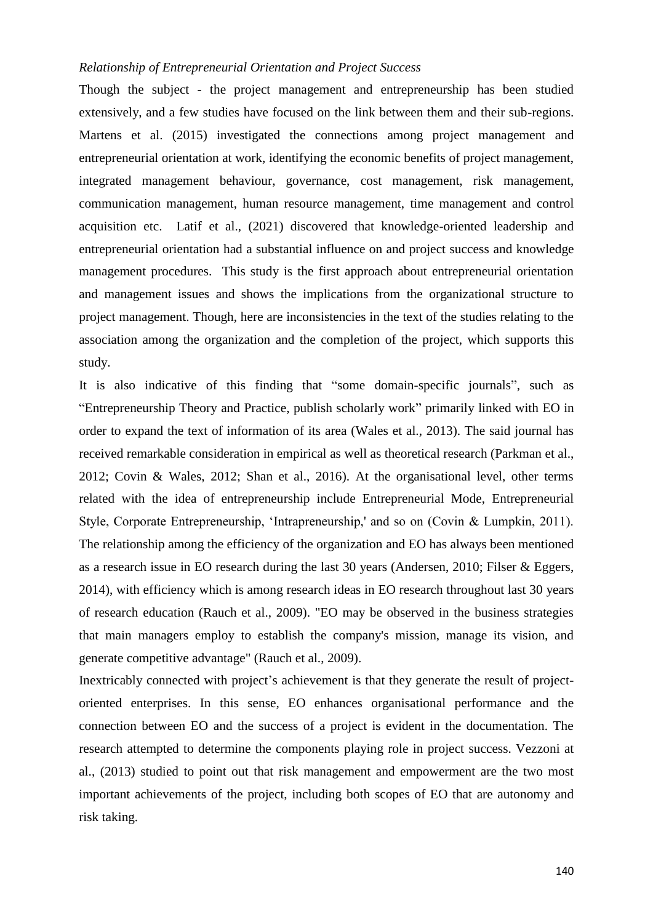# *Relationship of Entrepreneurial Orientation and Project Success*

Though the subject - the project management and entrepreneurship has been studied extensively, and a few studies have focused on the link between them and their sub-regions. Martens et al. (2015) investigated the connections among project management and entrepreneurial orientation at work, identifying the economic benefits of project management, integrated management behaviour, governance, cost management, risk management, communication management, human resource management, time management and control acquisition etc. Latif et al., (2021) discovered that knowledge-oriented leadership and entrepreneurial orientation had a substantial influence on and project success and knowledge management procedures. This study is the first approach about entrepreneurial orientation and management issues and shows the implications from the organizational structure to project management. Though, here are inconsistencies in the text of the studies relating to the association among the organization and the completion of the project, which supports this study.

It is also indicative of this finding that "some domain-specific journals", such as "Entrepreneurship Theory and Practice, publish scholarly work" primarily linked with EO in order to expand the text of information of its area (Wales et al., 2013). The said journal has received remarkable consideration in empirical as well as theoretical research (Parkman et al., 2012; Covin & Wales, 2012; Shan et al., 2016). At the organisational level, other terms related with the idea of entrepreneurship include Entrepreneurial Mode, Entrepreneurial Style, Corporate Entrepreneurship, 'Intrapreneurship,' and so on (Covin & Lumpkin, 2011). The relationship among the efficiency of the organization and EO has always been mentioned as a research issue in EO research during the last 30 years (Andersen, 2010; Filser & Eggers, 2014), with efficiency which is among research ideas in EO research throughout last 30 years of research education (Rauch et al., 2009). "EO may be observed in the business strategies that main managers employ to establish the company's mission, manage its vision, and generate competitive advantage" (Rauch et al., 2009).

Inextricably connected with project's achievement is that they generate the result of projectoriented enterprises. In this sense, EO enhances organisational performance and the connection between EO and the success of a project is evident in the documentation. The research attempted to determine the components playing role in project success. Vezzoni at al., (2013) studied to point out that risk management and empowerment are the two most important achievements of the project, including both scopes of EO that are autonomy and risk taking.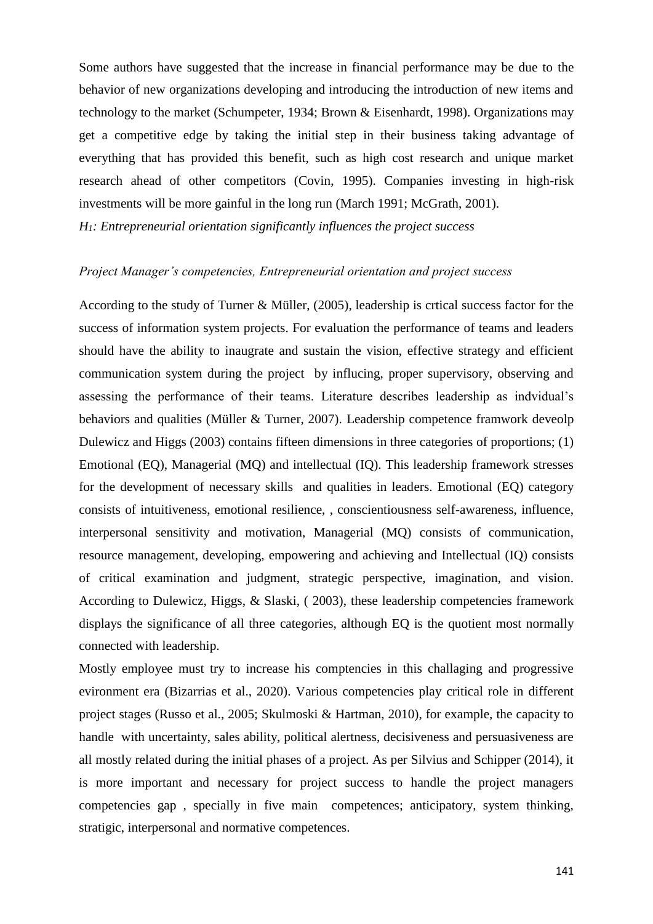Some authors have suggested that the increase in financial performance may be due to the behavior of new organizations developing and introducing the introduction of new items and technology to the market (Schumpeter, 1934; Brown & Eisenhardt, 1998). Organizations may get a competitive edge by taking the initial step in their business taking advantage of everything that has provided this benefit, such as high cost research and unique market research ahead of other competitors (Covin, 1995). Companies investing in high-risk investments will be more gainful in the long run (March 1991; McGrath, 2001). *H1: Entrepreneurial orientation significantly influences the project success*

# *Project Manager's competencies, Entrepreneurial orientation and project success*

According to the study of Turner & Müller, (2005), leadership is crtical success factor for the success of information system projects. For evaluation the performance of teams and leaders should have the ability to inaugrate and sustain the vision, effective strategy and efficient communication system during the project by influcing, proper supervisory, observing and assessing the performance of their teams. Literature describes leadership as indvidual's behaviors and qualities (Müller & Turner, 2007). Leadership competence framwork deveolp Dulewicz and Higgs (2003) contains fifteen dimensions in three categories of proportions; (1) Emotional (EQ), Managerial (MQ) and intellectual (IQ). This leadership framework stresses for the development of necessary skills and qualities in leaders. Emotional (EQ) category consists of intuitiveness, emotional resilience, , conscientiousness self-awareness, influence, interpersonal sensitivity and motivation, Managerial (MQ) consists of communication, resource management, developing, empowering and achieving and Intellectual (IQ) consists of critical examination and judgment, strategic perspective, imagination, and vision. According to Dulewicz, Higgs, & Slaski, ( 2003), these leadership competencies framework displays the significance of all three categories, although EQ is the quotient most normally connected with leadership.

Mostly employee must try to increase his comptencies in this challaging and progressive evironment era (Bizarrias et al., 2020). Various competencies play critical role in different project stages (Russo et al., 2005; Skulmoski & Hartman, 2010), for example, the capacity to handle with uncertainty, sales ability, political alertness, decisiveness and persuasiveness are all mostly related during the initial phases of a project. As per Silvius and Schipper (2014), it is more important and necessary for project success to handle the project managers competencies gap , specially in five main competences; anticipatory, system thinking, stratigic, interpersonal and normative competences.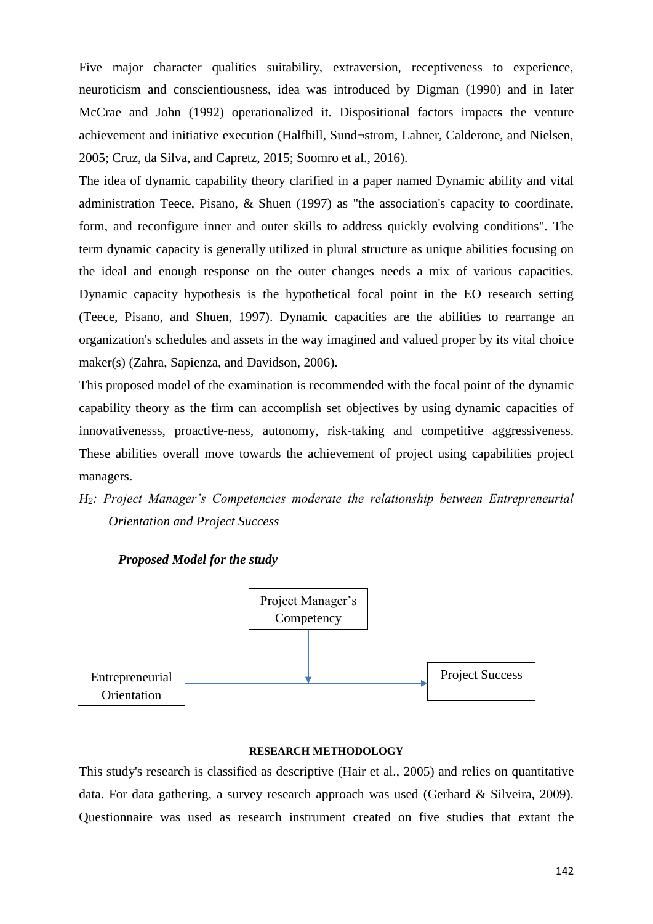Five major character qualities suitability, extraversion, receptiveness to experience, neuroticism and conscientiousness, idea was introduced by Digman (1990) and in later McCrae and John (1992) operationalized it. Dispositional factors impacts the venture achievement and initiative execution (Halfhill, Sund¬strom, Lahner, Calderone, and Nielsen, 2005; Cruz, da Silva, and Capretz, 2015; Soomro et al., 2016).

The idea of dynamic capability theory clarified in a paper named Dynamic ability and vital administration Teece, Pisano, & Shuen (1997) as "the association's capacity to coordinate, form, and reconfigure inner and outer skills to address quickly evolving conditions". The term dynamic capacity is generally utilized in plural structure as unique abilities focusing on the ideal and enough response on the outer changes needs a mix of various capacities. Dynamic capacity hypothesis is the hypothetical focal point in the EO research setting (Teece, Pisano, and Shuen, 1997). Dynamic capacities are the abilities to rearrange an organization's schedules and assets in the way imagined and valued proper by its vital choice maker(s) (Zahra, Sapienza, and Davidson, 2006).

This proposed model of the examination is recommended with the focal point of the dynamic capability theory as the firm can accomplish set objectives by using dynamic capacities of innovativenesss, proactive-ness, autonomy, risk-taking and competitive aggressiveness. These abilities overall move towards the achievement of project using capabilities project managers.

# *H2: Project Manager's Competencies moderate the relationship between Entrepreneurial Orientation and Project Success*



# *Proposed Model for the study*

# **RESEARCH METHODOLOGY**

This study's research is classified as descriptive (Hair et al., 2005) and relies on quantitative data. For data gathering, a survey research approach was used (Gerhard & Silveira, 2009). Questionnaire was used as research instrument created on five studies that extant the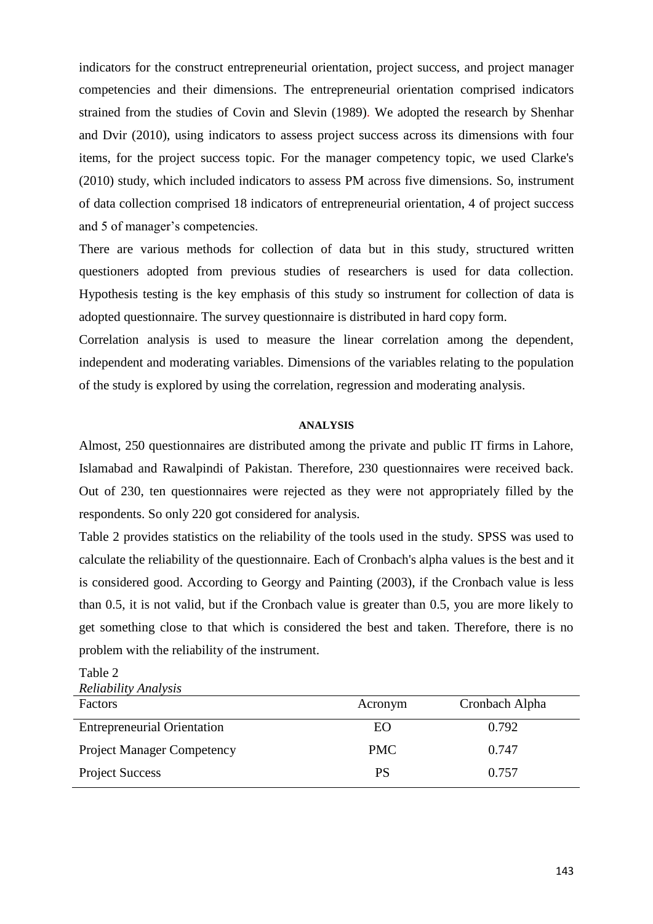indicators for the construct entrepreneurial orientation, project success, and project manager competencies and their dimensions. The entrepreneurial orientation comprised indicators strained from the studies of Covin and Slevin (1989). We adopted the research by Shenhar and Dvir (2010), using indicators to assess project success across its dimensions with four items, for the project success topic. For the manager competency topic, we used Clarke's (2010) study, which included indicators to assess PM across five dimensions. So, instrument of data collection comprised 18 indicators of entrepreneurial orientation, 4 of project success and 5 of manager's competencies.

There are various methods for collection of data but in this study, structured written questioners adopted from previous studies of researchers is used for data collection. Hypothesis testing is the key emphasis of this study so instrument for collection of data is adopted questionnaire. The survey questionnaire is distributed in hard copy form.

Correlation analysis is used to measure the linear correlation among the dependent, independent and moderating variables. Dimensions of the variables relating to the population of the study is explored by using the correlation, regression and moderating analysis.

### **ANALYSIS**

Almost, 250 questionnaires are distributed among the private and public IT firms in Lahore, Islamabad and Rawalpindi of Pakistan. Therefore, 230 questionnaires were received back. Out of 230, ten questionnaires were rejected as they were not appropriately filled by the respondents. So only 220 got considered for analysis.

Table 2 provides statistics on the reliability of the tools used in the study. SPSS was used to calculate the reliability of the questionnaire. Each of Cronbach's alpha values is the best and it is considered good. According to Georgy and Painting (2003), if the Cronbach value is less than 0.5, it is not valid, but if the Cronbach value is greater than 0.5, you are more likely to get something close to that which is considered the best and taken. Therefore, there is no problem with the reliability of the instrument.

*Reliability Analysis* Factors **Acronym** Cronbach Alpha Entrepreneurial Orientation EO 6.792 Project Manager Competency PMC 0.747 Project Success PS 0.757

Table 2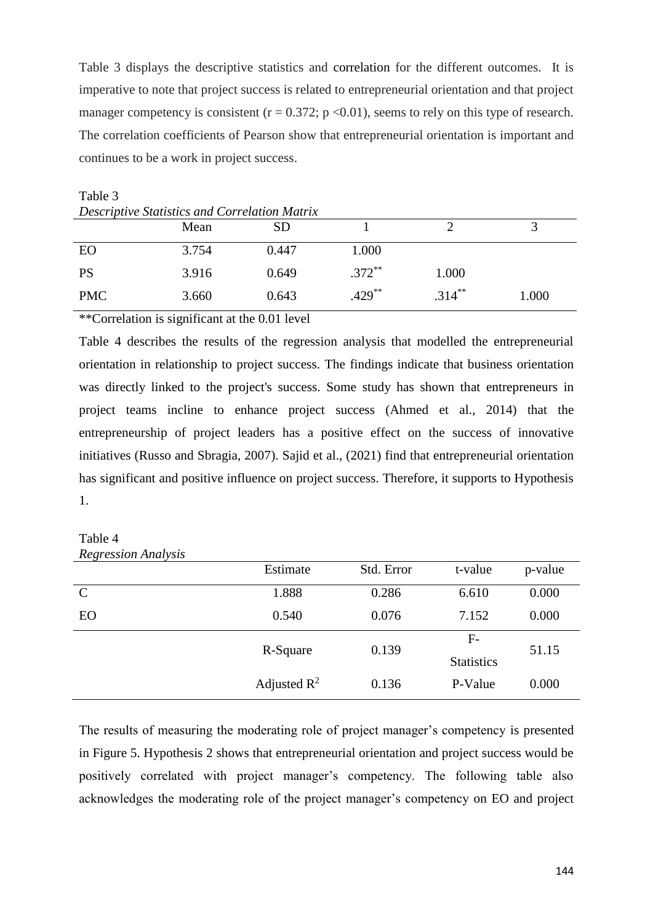Table 3 displays the descriptive statistics and correlation for the different outcomes. It is imperative to note that project success is related to entrepreneurial orientation and that project manager competency is consistent ( $r = 0.372$ ;  $p < 0.01$ ), seems to rely on this type of research. The correlation coefficients of Pearson show that entrepreneurial orientation is important and continues to be a work in project success.

|            | Mean  | SD    |           |           |       |
|------------|-------|-------|-----------|-----------|-------|
| EO         | 3.754 | 0.447 | 1.000     |           |       |
| <b>PS</b>  | 3.916 | 0.649 | $.372***$ | 1.000     |       |
| <b>PMC</b> | 3.660 | 0.643 | $.429***$ | $.314***$ | 1.000 |

Table 3 *Descriptive Statistics and Correlation Matrix*

\*\*Correlation is significant at the 0.01 level

Table 4 describes the results of the regression analysis that modelled the entrepreneurial orientation in relationship to project success. The findings indicate that business orientation was directly linked to the project's success. Some study has shown that entrepreneurs in project teams incline to enhance project success (Ahmed et al., 2014) that the entrepreneurship of project leaders has a positive effect on the success of innovative initiatives (Russo and Sbragia, 2007). Sajid et al., (2021) find that entrepreneurial orientation has significant and positive influence on project success. Therefore, it supports to Hypothesis 1.

## Table 4 *Regression Analysis*

| $\cdot$       | Estimate       | Std. Error | t-value                   | p-value |
|---------------|----------------|------------|---------------------------|---------|
| $\mathcal{C}$ | 1.888          | 0.286      | 6.610                     | 0.000   |
| EO            | 0.540          | 0.076      | 7.152                     | 0.000   |
|               | R-Square       | 0.139      | $F-$<br><b>Statistics</b> | 51.15   |
|               | Adjusted $R^2$ | 0.136      | P-Value                   | 0.000   |

The results of measuring the moderating role of project manager's competency is presented in Figure 5. Hypothesis 2 shows that entrepreneurial orientation and project success would be positively correlated with project manager's competency. The following table also acknowledges the moderating role of the project manager's competency on EO and project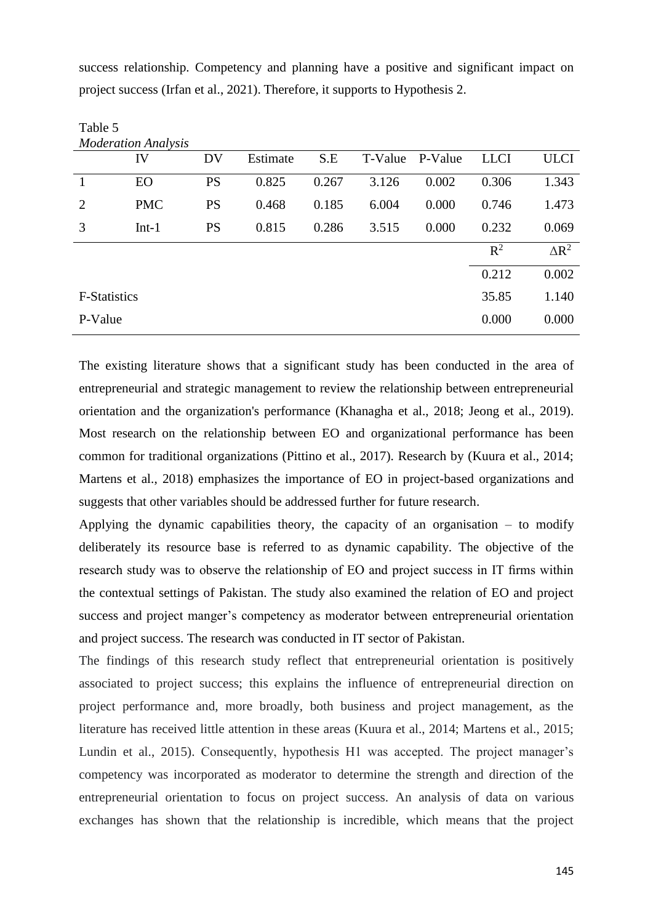success relationship. Competency and planning have a positive and significant impact on project success (Irfan et al., 2021). Therefore, it supports to Hypothesis 2.

Table 5

| <i>Moderation Analysis</i> |            |           |          |       |         |         |             |              |
|----------------------------|------------|-----------|----------|-------|---------|---------|-------------|--------------|
|                            | IV         | DV        | Estimate | S.E   | T-Value | P-Value | <b>LLCI</b> | <b>ULCI</b>  |
| 1                          | EO         | <b>PS</b> | 0.825    | 0.267 | 3.126   | 0.002   | 0.306       | 1.343        |
| 2                          | <b>PMC</b> | <b>PS</b> | 0.468    | 0.185 | 6.004   | 0.000   | 0.746       | 1.473        |
| 3                          | $Int-1$    | <b>PS</b> | 0.815    | 0.286 | 3.515   | 0.000   | 0.232       | 0.069        |
|                            |            |           |          |       |         |         | $R^2$       | $\Delta R^2$ |
|                            |            |           |          |       |         |         | 0.212       | 0.002        |
| <b>F-Statistics</b>        |            |           |          |       |         |         | 35.85       | 1.140        |
| P-Value                    |            |           |          |       |         |         | 0.000       | 0.000        |

The existing literature shows that a significant study has been conducted in the area of entrepreneurial and strategic management to review the relationship between entrepreneurial orientation and the organization's performance (Khanagha et al., 2018; Jeong et al., 2019). Most research on the relationship between EO and organizational performance has been common for traditional organizations (Pittino et al., 2017). Research by (Kuura et al., 2014; Martens et al., 2018) emphasizes the importance of EO in project-based organizations and suggests that other variables should be addressed further for future research.

Applying the dynamic capabilities theory, the capacity of an organisation  $-$  to modify deliberately its resource base is referred to as dynamic capability. The objective of the research study was to observe the relationship of EO and project success in IT firms within the contextual settings of Pakistan. The study also examined the relation of EO and project success and project manger's competency as moderator between entrepreneurial orientation and project success. The research was conducted in IT sector of Pakistan.

The findings of this research study reflect that entrepreneurial orientation is positively associated to project success; this explains the influence of entrepreneurial direction on project performance and, more broadly, both business and project management, as the literature has received little attention in these areas (Kuura et al., 2014; Martens et al., 2015; Lundin et al., 2015). Consequently, hypothesis H1 was accepted. The project manager's competency was incorporated as moderator to determine the strength and direction of the entrepreneurial orientation to focus on project success. An analysis of data on various exchanges has shown that the relationship is incredible, which means that the project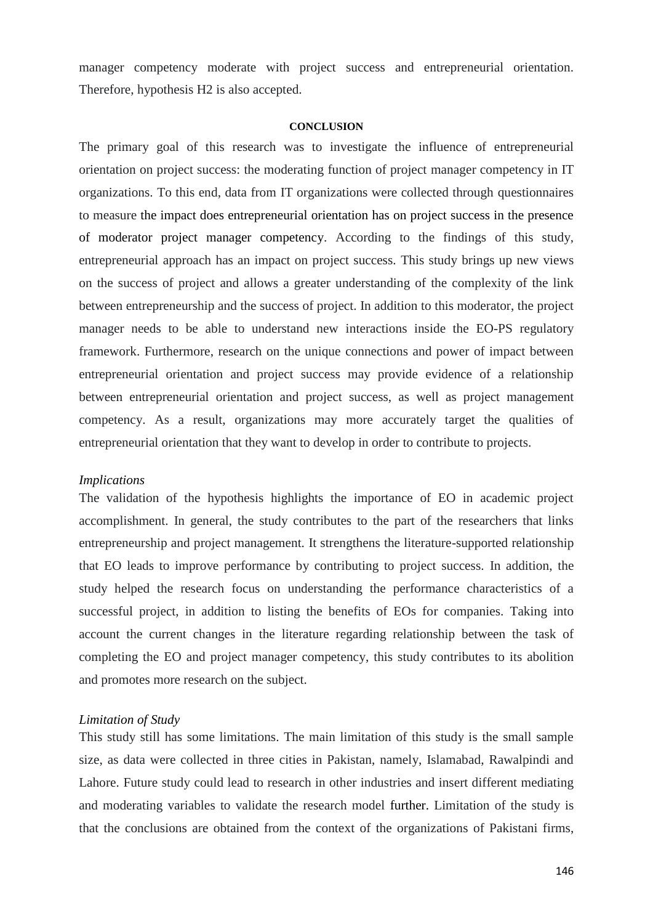manager competency moderate with project success and entrepreneurial orientation. Therefore, hypothesis H2 is also accepted.

#### **CONCLUSION**

The primary goal of this research was to investigate the influence of entrepreneurial orientation on project success: the moderating function of project manager competency in IT organizations. To this end, data from IT organizations were collected through questionnaires to measure the impact does entrepreneurial orientation has on project success in the presence of moderator project manager competency. According to the findings of this study, entrepreneurial approach has an impact on project success. This study brings up new views on the success of project and allows a greater understanding of the complexity of the link between entrepreneurship and the success of project. In addition to this moderator, the project manager needs to be able to understand new interactions inside the EO-PS regulatory framework. Furthermore, research on the unique connections and power of impact between entrepreneurial orientation and project success may provide evidence of a relationship between entrepreneurial orientation and project success, as well as project management competency. As a result, organizations may more accurately target the qualities of entrepreneurial orientation that they want to develop in order to contribute to projects.

#### *Implications*

The validation of the hypothesis highlights the importance of EO in academic project accomplishment. In general, the study contributes to the part of the researchers that links entrepreneurship and project management. It strengthens the literature-supported relationship that EO leads to improve performance by contributing to project success. In addition, the study helped the research focus on understanding the performance characteristics of a successful project, in addition to listing the benefits of EOs for companies. Taking into account the current changes in the literature regarding relationship between the task of completing the EO and project manager competency, this study contributes to its abolition and promotes more research on the subject.

#### *Limitation of Study*

This study still has some limitations. The main limitation of this study is the small sample size, as data were collected in three cities in Pakistan, namely, Islamabad, Rawalpindi and Lahore. Future study could lead to research in other industries and insert different mediating and moderating variables to validate the research model further. Limitation of the study is that the conclusions are obtained from the context of the organizations of Pakistani firms,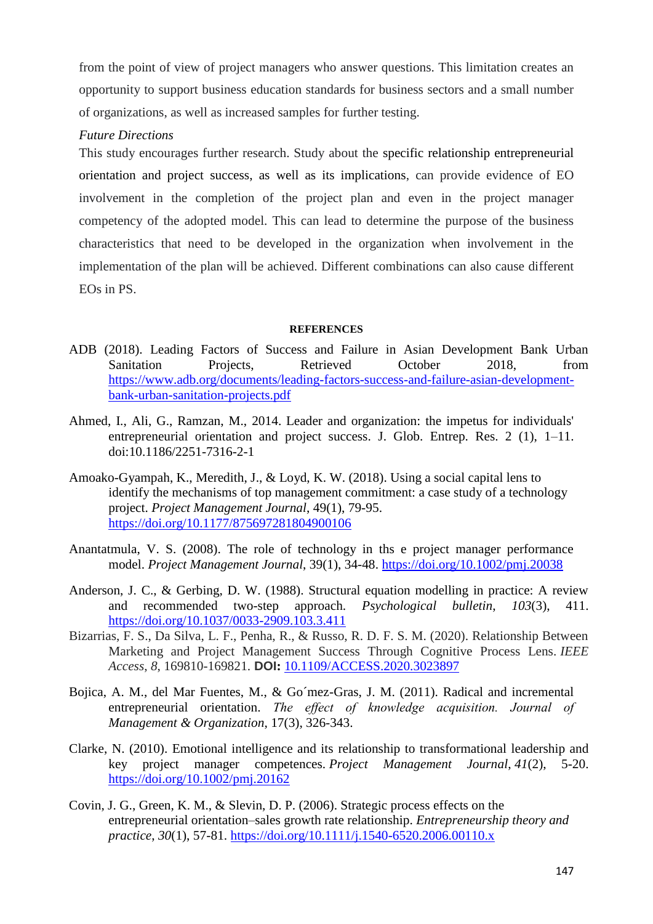from the point of view of project managers who answer questions. This limitation creates an opportunity to support business education standards for business sectors and a small number of organizations, as well as increased samples for further testing.

# *Future Directions*

This study encourages further research. Study about the specific relationship entrepreneurial orientation and project success, as well as its implications, can provide evidence of EO involvement in the completion of the project plan and even in the project manager competency of the adopted model. This can lead to determine the purpose of the business characteristics that need to be developed in the organization when involvement in the implementation of the plan will be achieved. Different combinations can also cause different EOs in PS.

### **REFERENCES**

- ADB (2018). Leading Factors of Success and Failure in Asian Development Bank Urban Sanitation Projects, Retrieved October 2018, from [https://www.adb.org/documents/leading-factors-success-and-failure-asian-development](https://www.adb.org/documents/leading-factors-success-and-failure-asian-development-%20bank-urban-sanitation-projects.pdf)[bank-urban-sanitation-projects.pdf](https://www.adb.org/documents/leading-factors-success-and-failure-asian-development-%20bank-urban-sanitation-projects.pdf)
- Ahmed, I., Ali, G., Ramzan, M., 2014. Leader and organization: the impetus for individuals' entrepreneurial orientation and project success. J. Glob. Entrep. Res. 2 (1), 1–11. doi:10.1186/2251-7316-2-1
- Amoako-Gyampah, K., Meredith, J., & Loyd, K. W. (2018). Using a social capital lens to identify the mechanisms of top management commitment: a case study of a technology project. *Project Management Journal*, 49(1), 79-95. [https://doi.org/10.1177/875697281804900106](https://doi.org/10.1177%2F875697281804900106)
- Anantatmula, V. S. (2008). The role of technology in ths e project manager performance model. *Project Management Journal*, 39(1), 34-48. [https://doi.org/10.1002/pmj.20038](https://doi.org/10.1002%2Fpmj.20038)
- Anderson, J. C., & Gerbing, D. W. (1988). Structural equation modelling in practice: A review and recommended two-step approach. *Psychological bulletin*, *103*(3), 411. [https://doi.org/10.1037/0033-2909.103.3.411](https://psycnet.apa.org/doi/10.1037/0033-2909.103.3.411)
- Bizarrias, F. S., Da Silva, L. F., Penha, R., & Russo, R. D. F. S. M. (2020). Relationship Between Marketing and Project Management Success Through Cognitive Process Lens. *IEEE Access*, *8*, 169810-169821. **DOI:** [10.1109/ACCESS.2020.3023897](https://doi.org/10.1109/ACCESS.2020.3023897)
- Bojica, A. M., del Mar Fuentes, M., & Go´mez-Gras, J. M. (2011). Radical and incremental entrepreneurial orientation. *The effect of knowledge acquisition. Journal of Management & Organization*, 17(3), 326-343.
- Clarke, N. (2010). Emotional intelligence and its relationship to transformational leadership and key project manager competences. *Project Management Journal*, *41*(2), 5-20. [https://doi.org/10.1002/pmj.20162](https://doi.org/10.1002%2Fpmj.20162)
- Covin, J. G., Green, K. M., & Slevin, D. P. (2006). Strategic process effects on the entrepreneurial orientation–sales growth rate relationship. *Entrepreneurship theory and practice*, *30*(1), 57-81. [https://doi.org/10.1111/j.1540-6520.2006.00110.x](https://doi.org/10.1111%2Fj.1540-6520.2006.00110.x)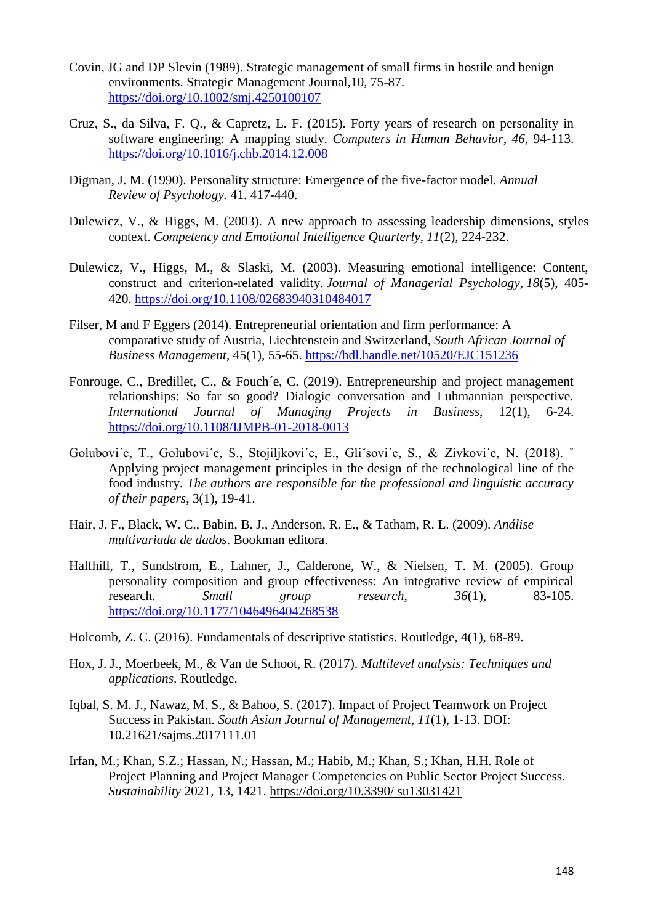- Covin, JG and DP Slevin (1989). Strategic management of small firms in hostile and benign environments. Strategic Management Journal,10, 75-87. <https://doi.org/10.1002/smj.4250100107>
- Cruz, S., da Silva, F. Q., & Capretz, L. F. (2015). Forty years of research on personality in software engineering: A mapping study. *Computers in Human Behavior*, *46*, 94-113. <https://doi.org/10.1016/j.chb.2014.12.008>
- Digman, J. M. (1990). Personality structure: Emergence of the five-factor model. *Annual Review of Psychology.* 41. 417-440.
- Dulewicz, V., & Higgs, M. (2003). A new approach to assessing leadership dimensions, styles context. *Competency and Emotional Intelligence Quarterly*, *11*(2), 224-232.
- Dulewicz, V., Higgs, M., & Slaski, M. (2003). Measuring emotional intelligence: Content, construct and criterion-related validity. *Journal of Managerial Psychology*, *18*(5), 405- 420. <https://doi.org/10.1108/02683940310484017>
- Filser, M and F Eggers (2014). Entrepreneurial orientation and firm performance: A comparative study of Austria, Liechtenstein and Switzerland, *South African Journal of Business Management*, 45(1), 55-65.<https://hdl.handle.net/10520/EJC151236>
- Fonrouge, C., Bredillet, C., & Fouch´e, C. (2019). Entrepreneurship and project management relationships: So far so good? Dialogic conversation and Luhmannian perspective. *International Journal of Managing Projects in Business*, 12(1), 6-24. <https://doi.org/10.1108/IJMPB-01-2018-0013>
- Golubovi´c, T., Golubovi´c, S., Stojiljkovi´c, E., Gliˇsovi´c, S., & Zivkovi´c, N. (2018). ˇ Applying project management principles in the design of the technological line of the food industry. *The authors are responsible for the professional and linguistic accuracy of their papers*, 3(1), 19-41.
- Hair, J. F., Black, W. C., Babin, B. J., Anderson, R. E., & Tatham, R. L. (2009). *Análise multivariada de dados*. Bookman editora.
- Halfhill, T., Sundstrom, E., Lahner, J., Calderone, W., & Nielsen, T. M. (2005). Group personality composition and group effectiveness: An integrative review of empirical research. *Small group research*, *36*(1), 83-105. [https://doi.org/10.1177/1046496404268538](https://doi.org/10.1177%2F1046496404268538)
- Holcomb, Z. C. (2016). Fundamentals of descriptive statistics. Routledge, 4(1), 68-89.
- Hox, J. J., Moerbeek, M., & Van de Schoot, R. (2017). *Multilevel analysis: Techniques and applications*. Routledge.
- Iqbal, S. M. J., Nawaz, M. S., & Bahoo, S. (2017). Impact of Project Teamwork on Project Success in Pakistan. *South Asian Journal of Management*, *11*(1), 1-13. DOI: 10.21621/sajms.2017111.01
- Irfan, M.; Khan, S.Z.; Hassan, N.; Hassan, M.; Habib, M.; Khan, S.; Khan, H.H. Role of Project Planning and Project Manager Competencies on Public Sector Project Success. *Sustainability* 2021, 13, 1421. https://doi.org/10.3390/ su13031421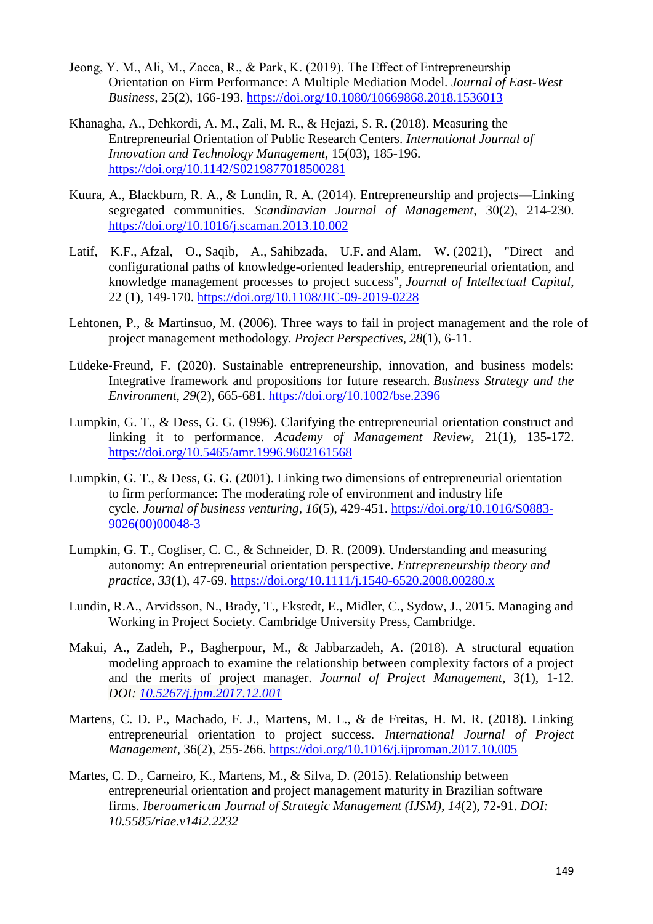- Jeong, Y. M., Ali, M., Zacca, R., & Park, K. (2019). The Effect of Entrepreneurship Orientation on Firm Performance: A Multiple Mediation Model. *Journal of East-West Business,* 25(2), 166-193. <https://doi.org/10.1080/10669868.2018.1536013>
- Khanagha, A., Dehkordi, A. M., Zali, M. R., & Hejazi, S. R. (2018). Measuring the Entrepreneurial Orientation of Public Research Centers. *International Journal of Innovation and Technology Management,* 15(03), 185-196. <https://doi.org/10.1142/S0219877018500281>
- Kuura, A., Blackburn, R. A., & Lundin, R. A. (2014). Entrepreneurship and projects—Linking segregated communities. *Scandinavian Journal of Management*, 30(2), 214-230. <https://doi.org/10.1016/j.scaman.2013.10.002>
- Latif, K.F., Afzal, O., Saqib, A., Sahibzada, U.F. and Alam, W. (2021), "Direct and configurational paths of knowledge-oriented leadership, entrepreneurial orientation, and knowledge management processes to project success", *Journal of Intellectual Capital*, 22 (1), 149-170. <https://doi.org/10.1108/JIC-09-2019-0228>
- Lehtonen, P., & Martinsuo, M. (2006). Three ways to fail in project management and the role of project management methodology. *Project Perspectives*, *28*(1), 6-11.
- Lüdeke-Freund, F. (2020). Sustainable entrepreneurship, innovation, and business models: Integrative framework and propositions for future research. *Business Strategy and the Environment*, *29*(2), 665-681. <https://doi.org/10.1002/bse.2396>
- Lumpkin, G. T., & Dess, G. G. (1996). Clarifying the entrepreneurial orientation construct and linking it to performance. *Academy of Management Review*, 21(1), 135-172. <https://doi.org/10.5465/amr.1996.9602161568>
- Lumpkin, G. T., & Dess, G. G. (2001). Linking two dimensions of entrepreneurial orientation to firm performance: The moderating role of environment and industry life cycle. *Journal of business venturing*, *16*(5), 429-451. [https://doi.org/10.1016/S0883-](https://doi.org/10.1016/S0883-9026(00)00048-3) [9026\(00\)00048-3](https://doi.org/10.1016/S0883-9026(00)00048-3)
- Lumpkin, G. T., Cogliser, C. C., & Schneider, D. R. (2009). Understanding and measuring autonomy: An entrepreneurial orientation perspective. *Entrepreneurship theory and practice*, *33*(1), 47-69. [https://doi.org/10.1111/j.1540-6520.2008.00280.x](https://doi.org/10.1111%2Fj.1540-6520.2008.00280.x)
- Lundin, R.A., Arvidsson, N., Brady, T., Ekstedt, E., Midler, C., Sydow, J., 2015. Managing and Working in Project Society. Cambridge University Press, Cambridge.
- Makui, A., Zadeh, P., Bagherpour, M., & Jabbarzadeh, A. (2018). A structural equation modeling approach to examine the relationship between complexity factors of a project and the merits of project manager. *Journal of Project Management*, 3(1), 1-12. *DOI: [10.5267/j.jpm.2017.12.001](http://dx.doi.org/10.5267/j.jpm.2017.12.001)*
- Martens, C. D. P., Machado, F. J., Martens, M. L., & de Freitas, H. M. R. (2018). Linking entrepreneurial orientation to project success. *International Journal of Project Management*, 36(2), 255-266. <https://doi.org/10.1016/j.ijproman.2017.10.005>
- Martes, C. D., Carneiro, K., Martens, M., & Silva, D. (2015). Relationship between entrepreneurial orientation and project management maturity in Brazilian software firms. *Iberoamerican Journal of Strategic Management (IJSM)*, *14*(2), 72-91. *DOI: 10.5585/riae.v14i2.2232*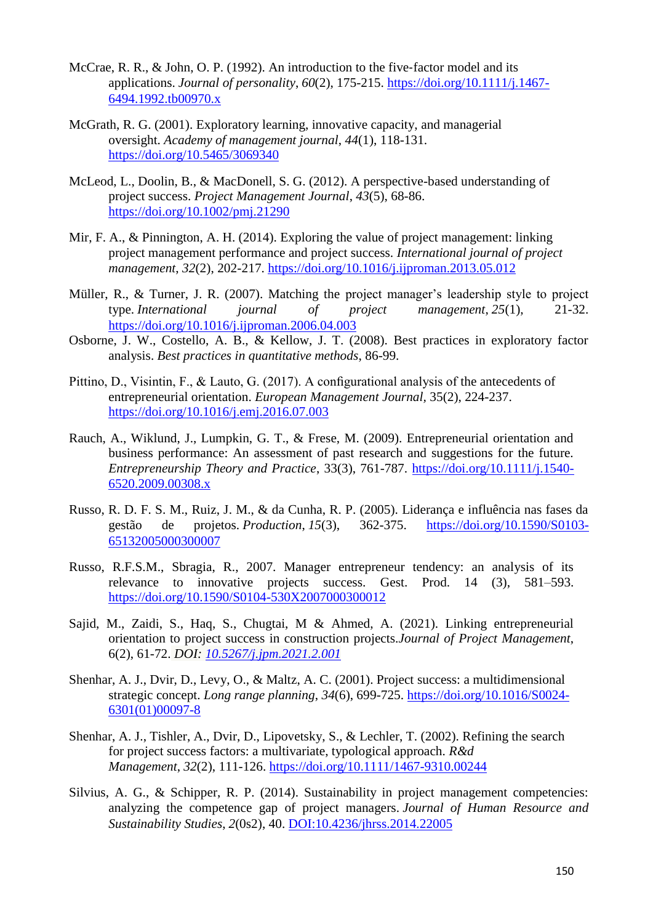- McCrae, R. R., & John, O. P. (1992). An introduction to the five-factor model and its applications. *Journal of personality*, *60*(2), 175-215. [https://doi.org/10.1111/j.1467-](https://doi.org/10.1111/j.1467-6494.1992.tb00970.x) [6494.1992.tb00970.x](https://doi.org/10.1111/j.1467-6494.1992.tb00970.x)
- McGrath, R. G. (2001). Exploratory learning, innovative capacity, and managerial oversight. *Academy of management journal*, *44*(1), 118-131. <https://doi.org/10.5465/3069340>
- McLeod, L., Doolin, B., & MacDonell, S. G. (2012). A perspective-based understanding of project success. *Project Management Journal*, *43*(5), 68-86. [https://doi.org/10.1002/pmj.21290](https://doi.org/10.1002%2Fpmj.21290)
- Mir, F. A., & Pinnington, A. H. (2014). Exploring the value of project management: linking project management performance and project success. *International journal of project management*, *32*(2), 202-217. <https://doi.org/10.1016/j.ijproman.2013.05.012>
- Müller, R., & Turner, J. R. (2007). Matching the project manager's leadership style to project type. *International journal of project management*, *25*(1), 21-32. <https://doi.org/10.1016/j.ijproman.2006.04.003>
- Osborne, J. W., Costello, A. B., & Kellow, J. T. (2008). Best practices in exploratory factor analysis. *Best practices in quantitative methods*, 86-99.
- Pittino, D., Visintin, F., & Lauto, G. (2017). A configurational analysis of the antecedents of entrepreneurial orientation. *European Management Journal,* 35(2), 224-237. <https://doi.org/10.1016/j.emj.2016.07.003>
- Rauch, A., Wiklund, J., Lumpkin, G. T., & Frese, M. (2009). Entrepreneurial orientation and business performance: An assessment of past research and suggestions for the future. *Entrepreneurship Theory and Practice*, 33(3), 761-787. [https://doi.org/10.1111/j.1540-](https://doi.org/10.1111%2Fj.1540-6520.2009.00308.x) [6520.2009.00308.x](https://doi.org/10.1111%2Fj.1540-6520.2009.00308.x)
- Russo, R. D. F. S. M., Ruiz, J. M., & da Cunha, R. P. (2005). Liderança e influência nas fases da gestão de projetos. *Production*, *15*(3), 362-375. [https://doi.org/10.1590/S0103-](https://doi.org/10.1590/S0103-65132005000300007) [65132005000300007](https://doi.org/10.1590/S0103-65132005000300007)
- Russo, R.F.S.M., Sbragia, R., 2007. Manager entrepreneur tendency: an analysis of its relevance to innovative projects success. Gest. Prod. 14 (3), 581–593. <https://doi.org/10.1590/S0104-530X2007000300012>
- Sajid, M., Zaidi, S., Haq, S., Chugtai, M & Ahmed, A. (2021). Linking entrepreneurial orientation to project success in construction projects.*Journal of Project Management*, 6(2), 61-72. *DOI: [10.5267/j.jpm.2021.2.001](http://dx.doi.org/10.5267/j.jpm.2021.2.001)*
- Shenhar, A. J., Dvir, D., Levy, O., & Maltz, A. C. (2001). Project success: a multidimensional strategic concept. *Long range planning*, *34*(6), 699-725. [https://doi.org/10.1016/S0024-](https://doi.org/10.1016/S0024-6301(01)00097-8) [6301\(01\)00097-8](https://doi.org/10.1016/S0024-6301(01)00097-8)
- Shenhar, A. J., Tishler, A., Dvir, D., Lipovetsky, S., & Lechler, T. (2002). Refining the search for project success factors: a multivariate, typological approach. *R&d Management*, *32*(2), 111-126. <https://doi.org/10.1111/1467-9310.00244>
- Silvius, A. G., & Schipper, R. P. (2014). Sustainability in project management competencies: analyzing the competence gap of project managers. *Journal of Human Resource and Sustainability Studies*, *2*(0s2), 40. [DOI:10.4236/jhrss.2014.22005](http://www.scirp.org/journal/PaperInformation.aspx?PaperID=46506)